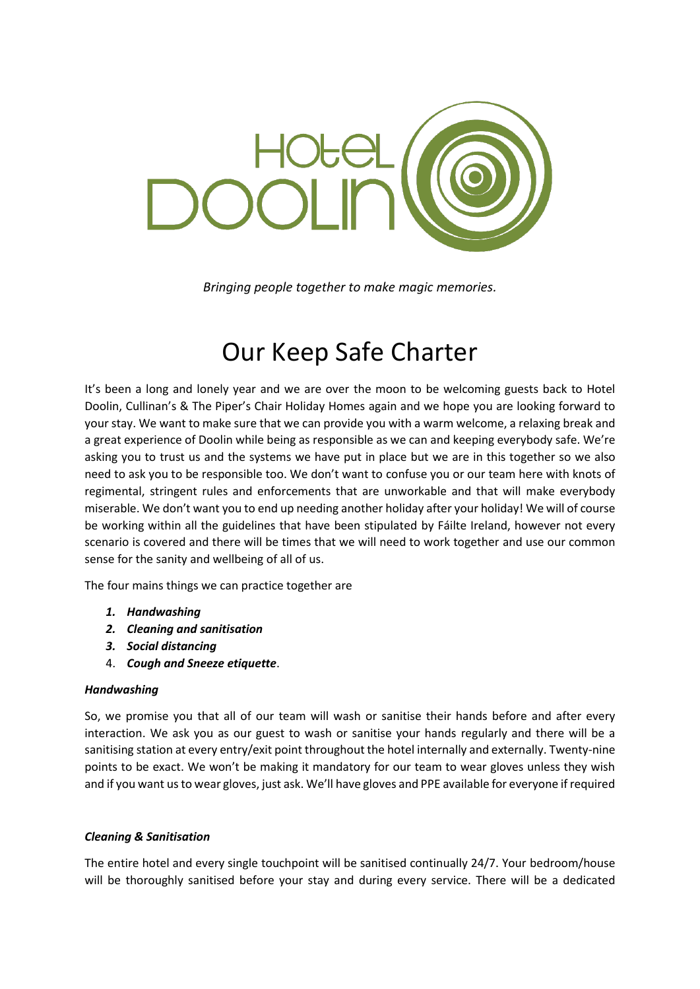

*Bringing people together to make magic memories.*

# Our Keep Safe Charter

It's been a long and lonely year and we are over the moon to be welcoming guests back to Hotel Doolin, Cullinan's & The Piper's Chair Holiday Homes again and we hope you are looking forward to your stay. We want to make sure that we can provide you with a warm welcome, a relaxing break and a great experience of Doolin while being as responsible as we can and keeping everybody safe. We're asking you to trust us and the systems we have put in place but we are in this together so we also need to ask you to be responsible too. We don't want to confuse you or our team here with knots of regimental, stringent rules and enforcements that are unworkable and that will make everybody miserable. We don't want you to end up needing another holiday after your holiday! We will of course be working within all the guidelines that have been stipulated by Fáilte Ireland, however not every scenario is covered and there will be times that we will need to work together and use our common sense for the sanity and wellbeing of all of us.

The four mains things we can practice together are

- *1. Handwashing*
- *2. Cleaning and sanitisation*
- *3. Social distancing*
- 4. *Cough and Sneeze etiquette*.

#### *Handwashing*

So, we promise you that all of our team will wash or sanitise their hands before and after every interaction. We ask you as our guest to wash or sanitise your hands regularly and there will be a sanitising station at every entry/exit point throughout the hotel internally and externally. Twenty-nine points to be exact. We won't be making it mandatory for our team to wear gloves unless they wish and if you want us to wear gloves, just ask. We'll have gloves and PPE available for everyone if required

#### *Cleaning & Sanitisation*

The entire hotel and every single touchpoint will be sanitised continually 24/7. Your bedroom/house will be thoroughly sanitised before your stay and during every service. There will be a dedicated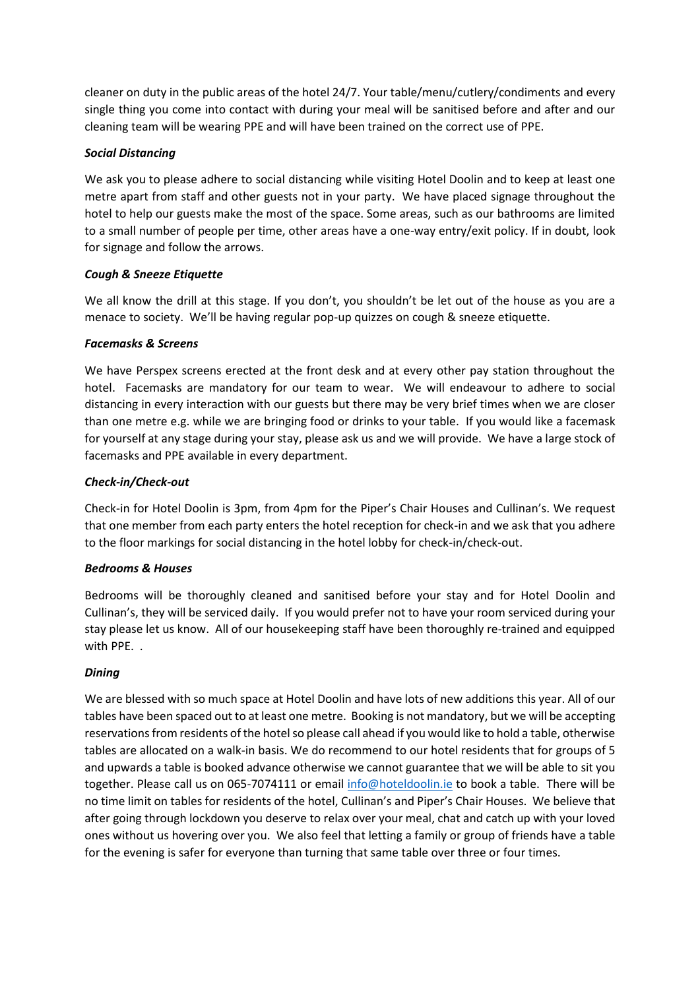cleaner on duty in the public areas of the hotel 24/7. Your table/menu/cutlery/condiments and every single thing you come into contact with during your meal will be sanitised before and after and our cleaning team will be wearing PPE and will have been trained on the correct use of PPE.

## *Social Distancing*

We ask you to please adhere to social distancing while visiting Hotel Doolin and to keep at least one metre apart from staff and other guests not in your party. We have placed signage throughout the hotel to help our guests make the most of the space. Some areas, such as our bathrooms are limited to a small number of people per time, other areas have a one-way entry/exit policy. If in doubt, look for signage and follow the arrows.

## *Cough & Sneeze Etiquette*

We all know the drill at this stage. If you don't, you shouldn't be let out of the house as you are a menace to society. We'll be having regular pop-up quizzes on cough & sneeze etiquette.

## *Facemasks & Screens*

We have Perspex screens erected at the front desk and at every other pay station throughout the hotel. Facemasks are mandatory for our team to wear. We will endeavour to adhere to social distancing in every interaction with our guests but there may be very brief times when we are closer than one metre e.g. while we are bringing food or drinks to your table. If you would like a facemask for yourself at any stage during your stay, please ask us and we will provide. We have a large stock of facemasks and PPE available in every department.

# *Check-in/Check-out*

Check-in for Hotel Doolin is 3pm, from 4pm for the Piper's Chair Houses and Cullinan's. We request that one member from each party enters the hotel reception for check-in and we ask that you adhere to the floor markings for social distancing in the hotel lobby for check-in/check-out.

#### *Bedrooms & Houses*

Bedrooms will be thoroughly cleaned and sanitised before your stay and for Hotel Doolin and Cullinan's, they will be serviced daily. If you would prefer not to have your room serviced during your stay please let us know. All of our housekeeping staff have been thoroughly re-trained and equipped with PPE. .

# *Dining*

We are blessed with so much space at Hotel Doolin and have lots of new additions this year. All of our tables have been spaced out to at least one metre. Booking is not mandatory, but we will be accepting reservations from residents of the hotel so please call ahead if you would like to hold a table, otherwise tables are allocated on a walk-in basis. We do recommend to our hotel residents that for groups of 5 and upwards a table is booked advance otherwise we cannot guarantee that we will be able to sit you together. Please call us on 065-7074111 or email [info@hoteldoolin.ie](mailto:info@hoteldoolin.ie) to book a table. There will be no time limit on tables for residents of the hotel, Cullinan's and Piper's Chair Houses. We believe that after going through lockdown you deserve to relax over your meal, chat and catch up with your loved ones without us hovering over you. We also feel that letting a family or group of friends have a table for the evening is safer for everyone than turning that same table over three or four times.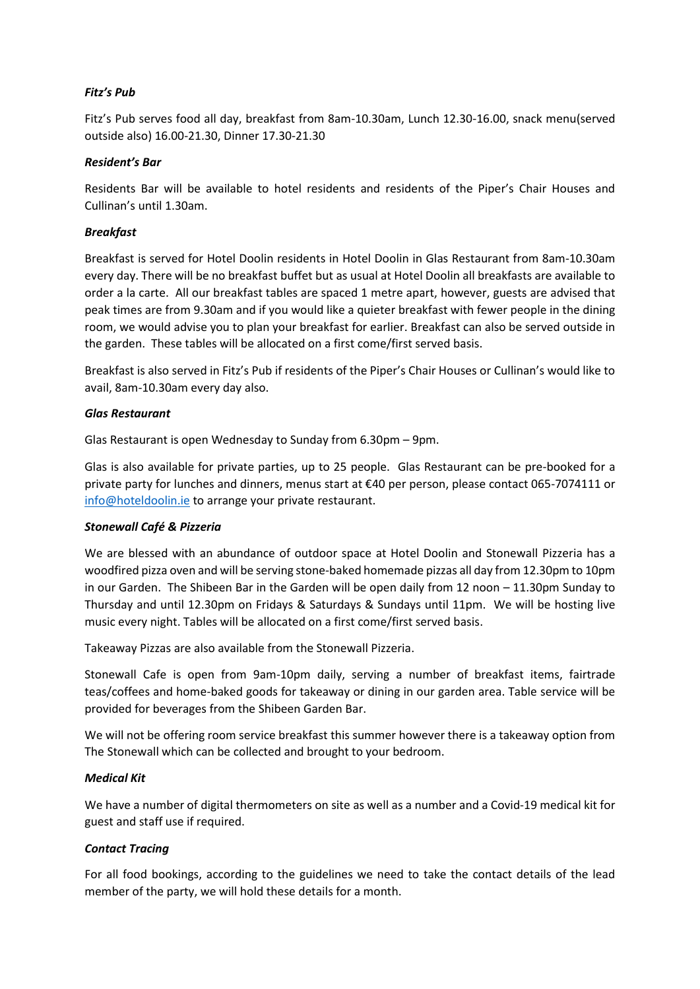## *Fitz's Pub*

Fitz's Pub serves food all day, breakfast from 8am-10.30am, Lunch 12.30-16.00, snack menu(served outside also) 16.00-21.30, Dinner 17.30-21.30

## *Resident's Bar*

Residents Bar will be available to hotel residents and residents of the Piper's Chair Houses and Cullinan's until 1.30am.

## *Breakfast*

Breakfast is served for Hotel Doolin residents in Hotel Doolin in Glas Restaurant from 8am-10.30am every day. There will be no breakfast buffet but as usual at Hotel Doolin all breakfasts are available to order a la carte. All our breakfast tables are spaced 1 metre apart, however, guests are advised that peak times are from 9.30am and if you would like a quieter breakfast with fewer people in the dining room, we would advise you to plan your breakfast for earlier. Breakfast can also be served outside in the garden. These tables will be allocated on a first come/first served basis.

Breakfast is also served in Fitz's Pub if residents of the Piper's Chair Houses or Cullinan's would like to avail, 8am-10.30am every day also.

#### *Glas Restaurant*

Glas Restaurant is open Wednesday to Sunday from 6.30pm – 9pm.

Glas is also available for private parties, up to 25 people. Glas Restaurant can be pre-booked for a private party for lunches and dinners, menus start at €40 per person, please contact 065-7074111 or [info@hoteldoolin.ie](mailto:info@hoteldoolin.ie) to arrange your private restaurant.

#### *Stonewall Café & Pizzeria*

We are blessed with an abundance of outdoor space at Hotel Doolin and Stonewall Pizzeria has a woodfired pizza oven and will be serving stone-baked homemade pizzas all day from 12.30pm to 10pm in our Garden. The Shibeen Bar in the Garden will be open daily from 12 noon – 11.30pm Sunday to Thursday and until 12.30pm on Fridays & Saturdays & Sundays until 11pm. We will be hosting live music every night. Tables will be allocated on a first come/first served basis.

Takeaway Pizzas are also available from the Stonewall Pizzeria.

Stonewall Cafe is open from 9am-10pm daily, serving a number of breakfast items, fairtrade teas/coffees and home-baked goods for takeaway or dining in our garden area. Table service will be provided for beverages from the Shibeen Garden Bar.

We will not be offering room service breakfast this summer however there is a takeaway option from The Stonewall which can be collected and brought to your bedroom.

# *Medical Kit*

We have a number of digital thermometers on site as well as a number and a Covid-19 medical kit for guest and staff use if required.

# *Contact Tracing*

For all food bookings, according to the guidelines we need to take the contact details of the lead member of the party, we will hold these details for a month.